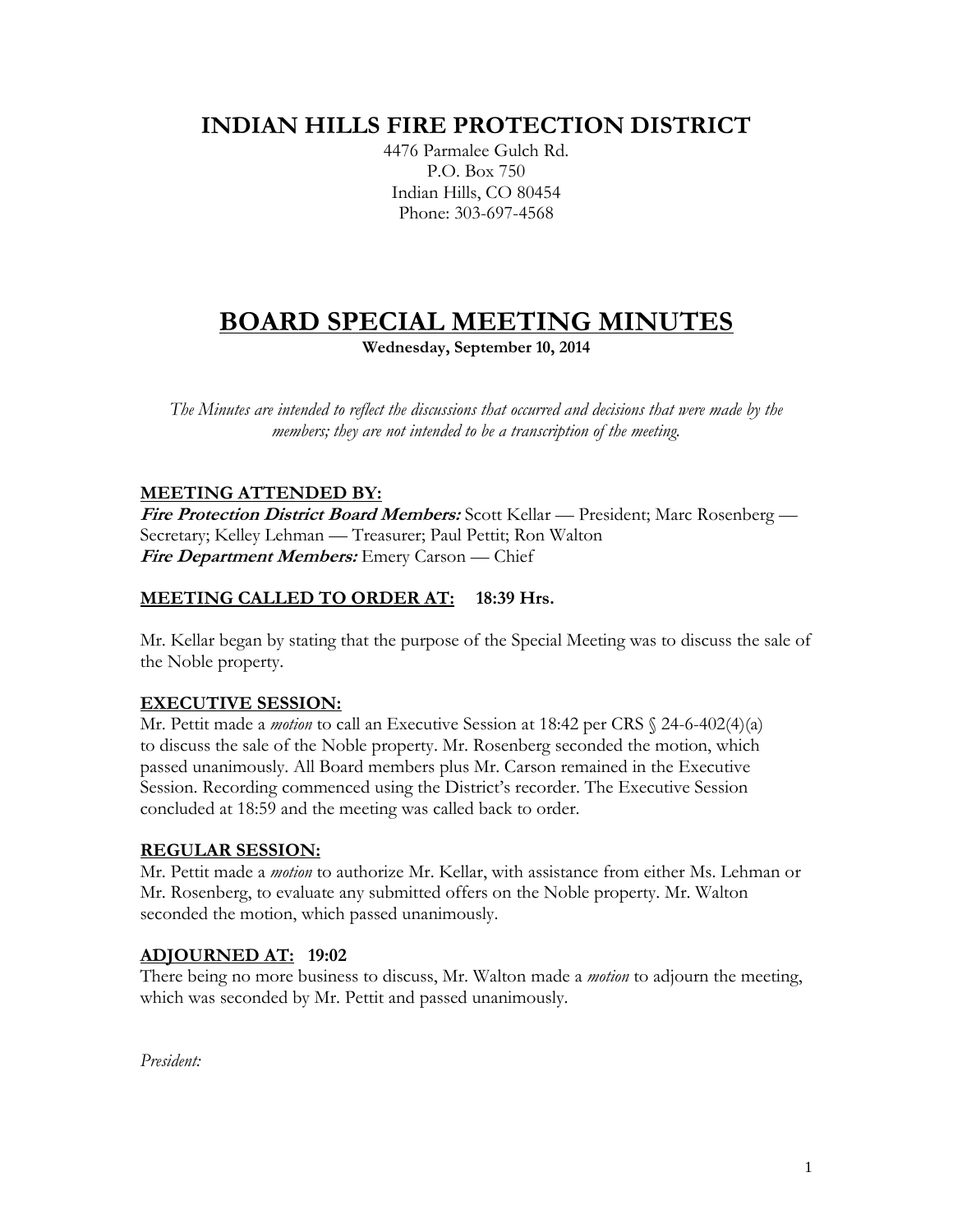## **INDIAN HILLS FIRE PROTECTION DISTRICT**

4476 Parmalee Gulch Rd. P.O. Box 750 Indian Hills, CO 80454 Phone: 303-697-4568

# **BOARD SPECIAL MEETING MINUTES**

**Wednesday, September 10, 2014**

*The Minutes are intended to reflect the discussions that occurred and decisions that were made by the members; they are not intended to be a transcription of the meeting.*

#### **MEETING ATTENDED BY:**

**Fire Protection District Board Members:** Scott Kellar — President; Marc Rosenberg — Secretary; Kelley Lehman — Treasurer; Paul Pettit; Ron Walton **Fire Department Members:** Emery Carson — Chief

### **MEETING CALLED TO ORDER AT: 18:39 Hrs.**

Mr. Kellar began by stating that the purpose of the Special Meeting was to discuss the sale of the Noble property.

#### **EXECUTIVE SESSION:**

Mr. Pettit made a *motion* to call an Executive Session at 18:42 per CRS § 24-6-402(4)(a) to discuss the sale of the Noble property. Mr. Rosenberg seconded the motion, which passed unanimously. All Board members plus Mr. Carson remained in the Executive Session. Recording commenced using the District's recorder. The Executive Session concluded at 18:59 and the meeting was called back to order.

#### **REGULAR SESSION:**

Mr. Pettit made a *motion* to authorize Mr. Kellar, with assistance from either Ms. Lehman or Mr. Rosenberg, to evaluate any submitted offers on the Noble property. Mr. Walton seconded the motion, which passed unanimously.

#### **ADJOURNED AT: 19:02**

There being no more business to discuss, Mr. Walton made a *motion* to adjourn the meeting, which was seconded by Mr. Pettit and passed unanimously.

*President:*